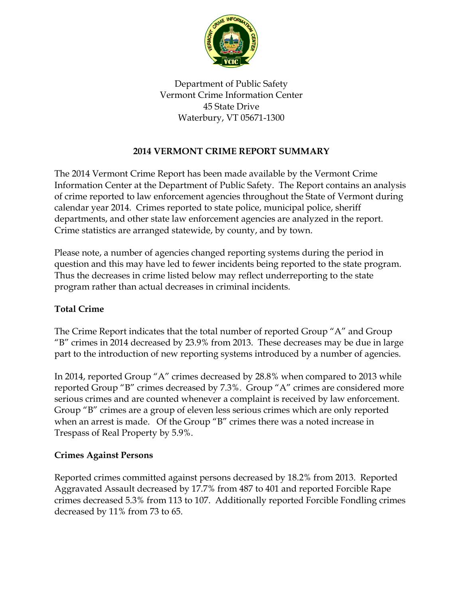

Department of Public Safety Vermont Crime Information Center 45 State Drive Waterbury, VT 05671-1300

# **2014 VERMONT CRIME REPORT SUMMARY**

The 2014 Vermont Crime Report has been made available by the Vermont Crime Information Center at the Department of Public Safety. The Report contains an analysis of crime reported to law enforcement agencies throughout the State of Vermont during calendar year 2014. Crimes reported to state police, municipal police, sheriff departments, and other state law enforcement agencies are analyzed in the report. Crime statistics are arranged statewide, by county, and by town.

Please note, a number of agencies changed reporting systems during the period in question and this may have led to fewer incidents being reported to the state program. Thus the decreases in crime listed below may reflect underreporting to the state program rather than actual decreases in criminal incidents.

### **Total Crime**

The Crime Report indicates that the total number of reported Group "A" and Group "B" crimes in 2014 decreased by 23.9% from 2013. These decreases may be due in large part to the introduction of new reporting systems introduced by a number of agencies.

In 2014, reported Group "A" crimes decreased by 28.8% when compared to 2013 while reported Group "B" crimes decreased by 7.3%. Group "A" crimes are considered more serious crimes and are counted whenever a complaint is received by law enforcement. Group "B" crimes are a group of eleven less serious crimes which are only reported when an arrest is made. Of the Group "B" crimes there was a noted increase in Trespass of Real Property by 5.9%.

### **Crimes Against Persons**

Reported crimes committed against persons decreased by 18.2% from 2013. Reported Aggravated Assault decreased by 17.7% from 487 to 401 and reported Forcible Rape crimes decreased 5.3% from 113 to 107. Additionally reported Forcible Fondling crimes decreased by 11% from 73 to 65.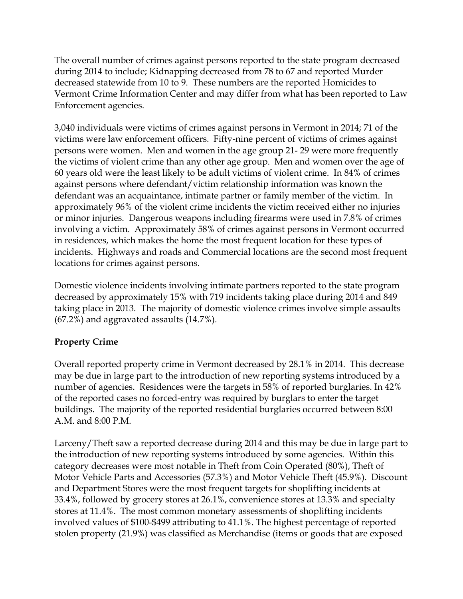The overall number of crimes against persons reported to the state program decreased during 2014 to include; Kidnapping decreased from 78 to 67 and reported Murder decreased statewide from 10 to 9. These numbers are the reported Homicides to Vermont Crime Information Center and may differ from what has been reported to Law Enforcement agencies.

3,040 individuals were victims of crimes against persons in Vermont in 2014; 71 of the victims were law enforcement officers. Fifty-nine percent of victims of crimes against persons were women. Men and women in the age group 21- 29 were more frequently the victims of violent crime than any other age group. Men and women over the age of 60 years old were the least likely to be adult victims of violent crime. In 84% of crimes against persons where defendant/victim relationship information was known the defendant was an acquaintance, intimate partner or family member of the victim. In approximately 96% of the violent crime incidents the victim received either no injuries or minor injuries. Dangerous weapons including firearms were used in 7.8% of crimes involving a victim. Approximately 58% of crimes against persons in Vermont occurred in residences, which makes the home the most frequent location for these types of incidents. Highways and roads and Commercial locations are the second most frequent locations for crimes against persons.

Domestic violence incidents involving intimate partners reported to the state program decreased by approximately 15% with 719 incidents taking place during 2014 and 849 taking place in 2013. The majority of domestic violence crimes involve simple assaults (67.2%) and aggravated assaults (14.7%).

# **Property Crime**

Overall reported property crime in Vermont decreased by 28.1% in 2014. This decrease may be due in large part to the introduction of new reporting systems introduced by a number of agencies. Residences were the targets in 58% of reported burglaries. In 42% of the reported cases no forced-entry was required by burglars to enter the target buildings. The majority of the reported residential burglaries occurred between 8:00 A.M. and 8:00 P.M.

Larceny/Theft saw a reported decrease during 2014 and this may be due in large part to the introduction of new reporting systems introduced by some agencies. Within this category decreases were most notable in Theft from Coin Operated (80%), Theft of Motor Vehicle Parts and Accessories (57.3%) and Motor Vehicle Theft (45.9%). Discount and Department Stores were the most frequent targets for shoplifting incidents at 33.4%, followed by grocery stores at 26.1%, convenience stores at 13.3% and specialty stores at 11.4%. The most common monetary assessments of shoplifting incidents involved values of \$100-\$499 attributing to 41.1%. The highest percentage of reported stolen property (21.9%) was classified as Merchandise (items or goods that are exposed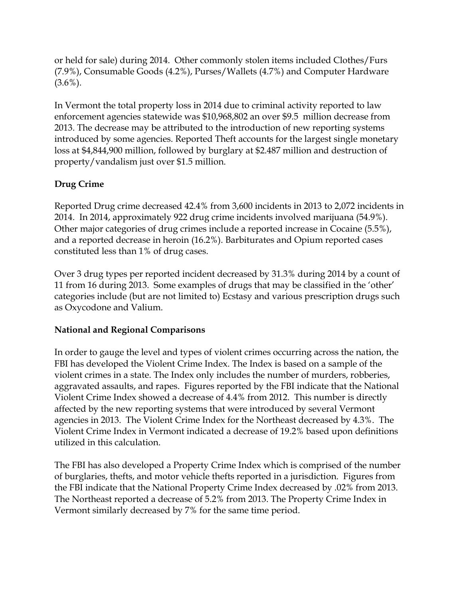or held for sale) during 2014. Other commonly stolen items included Clothes/Furs (7.9%), Consumable Goods (4.2%), Purses/Wallets (4.7%) and Computer Hardware  $(3.6\%)$ .

In Vermont the total property loss in 2014 due to criminal activity reported to law enforcement agencies statewide was \$10,968,802 an over \$9.5 million decrease from 2013. The decrease may be attributed to the introduction of new reporting systems introduced by some agencies. Reported Theft accounts for the largest single monetary loss at \$4,844,900 million, followed by burglary at \$2.487 million and destruction of property/vandalism just over \$1.5 million.

### **Drug Crime**

Reported Drug crime decreased 42.4% from 3,600 incidents in 2013 to 2,072 incidents in 2014. In 2014, approximately 922 drug crime incidents involved marijuana (54.9%). Other major categories of drug crimes include a reported increase in Cocaine (5.5%), and a reported decrease in heroin (16.2%). Barbiturates and Opium reported cases constituted less than 1% of drug cases.

Over 3 drug types per reported incident decreased by 31.3% during 2014 by a count of 11 from 16 during 2013. Some examples of drugs that may be classified in the 'other' categories include (but are not limited to) Ecstasy and various prescription drugs such as Oxycodone and Valium.

### **National and Regional Comparisons**

In order to gauge the level and types of violent crimes occurring across the nation, the FBI has developed the Violent Crime Index. The Index is based on a sample of the violent crimes in a state. The Index only includes the number of murders, robberies, aggravated assaults, and rapes. Figures reported by the FBI indicate that the National Violent Crime Index showed a decrease of 4.4% from 2012. This number is directly affected by the new reporting systems that were introduced by several Vermont agencies in 2013. The Violent Crime Index for the Northeast decreased by 4.3%. The Violent Crime Index in Vermont indicated a decrease of 19.2% based upon definitions utilized in this calculation.

The FBI has also developed a Property Crime Index which is comprised of the number of burglaries, thefts, and motor vehicle thefts reported in a jurisdiction. Figures from the FBI indicate that the National Property Crime Index decreased by .02% from 2013. The Northeast reported a decrease of 5.2% from 2013. The Property Crime Index in Vermont similarly decreased by 7% for the same time period.